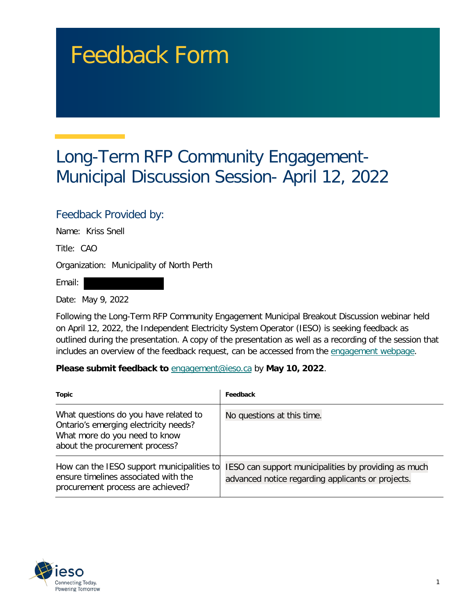## Feedback Form

## Long-Term RFP Community Engagement-Municipal Discussion Session- April 12, 2022

## Feedback Provided by:

Name: Kriss Snell

Title: CAO

Organization: Municipality of North Perth

Email:

Date: May 9, 2022

Following the Long-Term RFP Community Engagement Municipal Breakout Discussion webinar held on April 12, 2022, the Independent Electricity System Operator (IESO) is seeking feedback as outlined during the presentation. A copy of the presentation as well as a recording of the session that includes an overview of the feedback request, can be accessed from the [engagement webpage.](https://www.ieso.ca/en/Sector-Participants/Engagement-Initiatives/Engagements/Long-Term-RFP-Community-Engagement)

**Please submit feedback to** engagement@ieso.ca by **May 10, 2022**.

| Topic                                                                                                                                             | Feedback                                                                                                  |
|---------------------------------------------------------------------------------------------------------------------------------------------------|-----------------------------------------------------------------------------------------------------------|
| What questions do you have related to<br>Ontario's emerging electricity needs?<br>What more do you need to know<br>about the procurement process? | No questions at this time.                                                                                |
| How can the IESO support municipalities to<br>ensure timelines associated with the<br>procurement process are achieved?                           | IESO can support municipalities by providing as much<br>advanced notice regarding applicants or projects. |